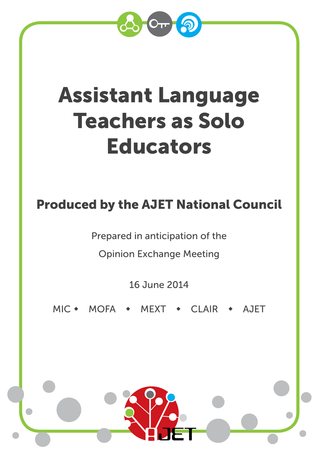

# Assistant Language Teachers as Solo Educators

# Produced by the AJET National Council

Prepared in anticipation of the

Opinion Exchange Meeting

16 June 2014

MIC • MOFA • MEXT • CLAIR • AJET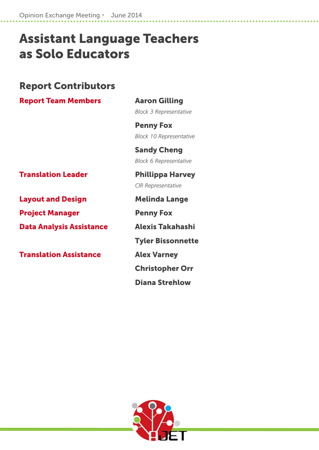Opinion Exchange Meeting · June 2014

# Assistant Language Teachers as Solo Educators

## Report Contributors

**Report Team Members Aaron Gilling** 

*Block 3 Representative*

Penny Fox  *Block 10 Representative*

 Sandy Cheng *Block 6 Representative*

Translation LeaderPhillippa Harvey

**Layout and Design Theory Melinda Lange** 

Project Manager **Penny Fox** 

Data Analysis Assistance Alexis Takahashi

**Translation Assistance Manual Alex Varney** 

*CIR Representative*

Tyler Bissonnette

Christopher Orr

Diana Strehlow

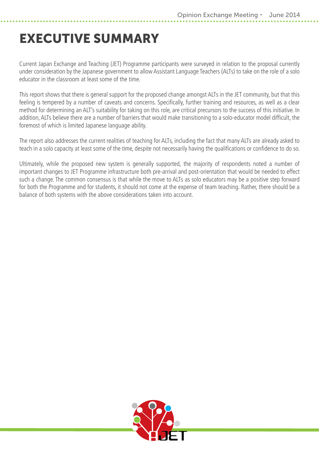# <span id="page-2-0"></span>EXECUTIVE SUMMARY

Current Japan Exchange and Teaching (JET) Programme participants were surveyed in relation to the proposal currently under consideration by the Japanese government to allow Assistant Language Teachers (ALTs) to take on the role of a solo educator in the classroom at least some of the time.

This report shows that there is general support for the proposed change amongst ALTs in the JET community, but that this feeling is tempered by a number of caveats and concerns. Specifically, further training and resources, as well as a clear method for determining an ALT's suitability for taking on this role, are critical precursors to the success of this initiative. In addition, ALTs believe there are a number of barriers that would make transitioning to a solo-educator model difficult, the foremost of which is limited Japanese language ability.

The report also addresses the current realities of teaching for ALTs, including the fact that many ALTs are already asked to teach in a solo capacity at least some of the time, despite not necessarily having the qualifications or confidence to do so.

Ultimately, while the proposed new system is generally supported, the majority of respondents noted a number of important changes to JET Programme infrastructure both pre-arrival and post-orientation that would be needed to effect such a change. The common consensus is that while the move to ALTs as solo educators may be a positive step forward for both the Programme and for students, it should not come at the expense of team teaching. Rather, there should be a balance of both systems with the above considerations taken into account.

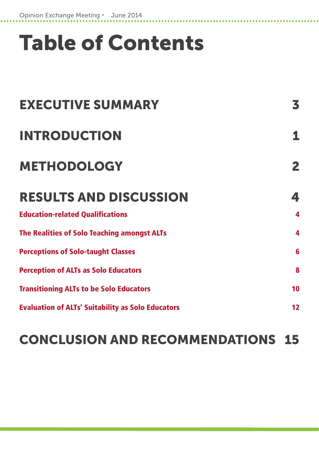# Table of Contents

| <b>EXECUTIVE SUMMARY</b>                                 | 3  |
|----------------------------------------------------------|----|
| <b>INTRODUCTION</b><br><b>METHODOLOGY</b>                | 2  |
|                                                          |    |
| <b>Education-related Qualifications</b>                  | 4  |
| <b>The Realities of Solo Teaching amongst ALTs</b>       | 4  |
| <b>Perceptions of Solo-taught Classes</b>                | 6  |
| <b>Perception of ALTs as Solo Educators</b>              | 8  |
| <b>Transitioning ALTs to be Solo Educators</b>           | 10 |
| <b>Evaluation of ALTs' Suitability as Solo Educators</b> | 12 |

# [CONCLUSION AND RECOMMENDATIONS 15](#page-18-0)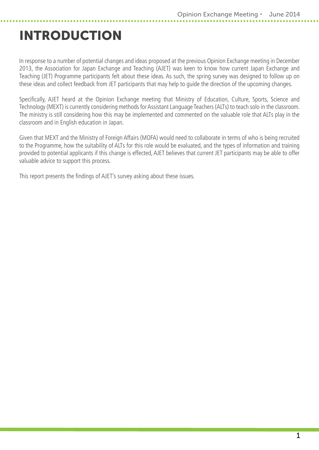# <span id="page-4-0"></span>INTRODUCTION

In response to a number of potential changes and ideas proposed at the previous Opinion Exchange meeting in December 2013, the Association for Japan Exchange and Teaching (AJET) was keen to know how current Japan Exchange and Teaching (JET) Programme participants felt about these ideas. As such, the spring survey was designed to follow up on these ideas and collect feedback from JET participants that may help to guide the direction of the upcoming changes.

Specifically, AJET heard at the Opinion Exchange meeting that Ministry of Education, Culture, Sports, Science and Technology (MEXT) is currently considering methods for Assistant Language Teachers (ALTs) to teach solo in the classroom. The ministry is still considering how this may be implemented and commented on the valuable role that ALTs play in the classroom and in English education in Japan.

Given that MEXT and the Ministry of Foreign Affairs (MOFA) would need to collaborate in terms of who is being recruited to the Programme, how the suitability of ALTs for this role would be evaluated, and the types of information and training provided to potential applicants if this change is effected, AJET believes that current JET participants may be able to offer valuable advice to support this process.

This report presents the findings of AJET's survey asking about these issues.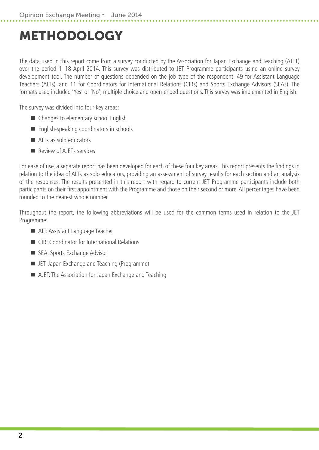# <span id="page-5-0"></span>METHODOLOGY

The data used in this report come from a survey conducted by the Association for Japan Exchange and Teaching (AJET) over the period 1–18 April 2014. This survey was distributed to JET Programme participants using an online survey development tool. The number of questions depended on the job type of the respondent: 49 for Assistant Language Teachers (ALTs), and 11 for Coordinators for International Relations (CIRs) and Sports Exchange Advisors (SEAs). The formats used included 'Yes' or 'No', multiple choice and open-ended questions. This survey was implemented in English.

The survey was divided into four key areas:

- Changes to elementary school English
- **English-speaking coordinators in schools**
- ALTs as solo educators
- **Review of AIFTs services**

For ease of use, a separate report has been developed for each of these four key areas. This report presents the findings in relation to the idea of ALTs as solo educators, providing an assessment of survey results for each section and an analysis of the responses. The results presented in this report with regard to current JET Programme participants include both participants on their first appointment with the Programme and those on their second or more. All percentages have been rounded to the nearest whole number.

Throughout the report, the following abbreviations will be used for the common terms used in relation to the JET Programme:

- ALT: Assistant Language Teacher
- CIR: Coordinator for International Relations
- SEA: Sports Exchange Advisor
- **E.** JET: Japan Exchange and Teaching (Programme)
- AJET: The Association for Japan Exchange and Teaching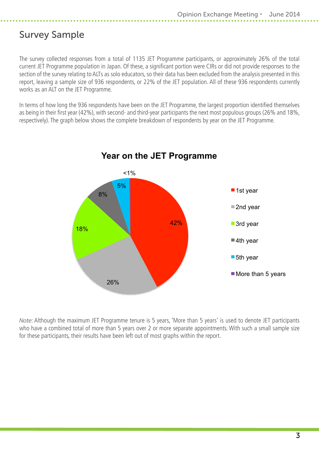## Survey Sample

The survey collected responses from a total of 1135 JET Programme participants, or approximately 26% of the total current JET Programme population in Japan. Of these, a significant portion were CIRs or did not provide responses to the section of the survey relating to ALTs as solo educators, so their data has been excluded from the analysis presented in this report, leaving a sample size of 936 respondents, or 22% of the JET population. All of these 936 respondents currently works as an ALT on the JET Programme.

In terms of how long the 936 respondents have been on the JET Programme, the largest proportion identified themselves as being in their first year (42%), with second- and third-year participants the next most populous groups (26% and 18%, respectively). The graph below shows the complete breakdown of respondents by year on the JET Programme.



**Year on the JET Programme**

*Note*: Although the maximum JET Programme tenure is 5 years, 'More than 5 years' is used to denote JET participants who have a combined total of more than 5 years over 2 or more separate appointments. With such a small sample size for these participants, their results have been left out of most graphs within the report.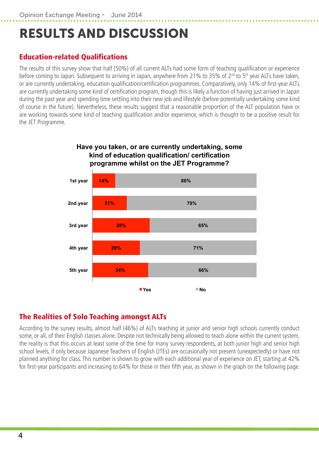# <span id="page-7-0"></span>RESULTS AND DISCUSSION

## Education-related Qualifications

The results of this survey show that half (50%) of all current ALTs had some form of teaching qualification or experience before coming to Japan. Subsequent to arriving in Japan, anywhere from 21% to 35% of 2<sup>nd</sup> to 5<sup>th</sup> year ALTs have taken, or are currently undertaking, education qualification/certification programmes. Comparatively, only 14% of first-year ALTs are currently undertaking some kind of certification program, though this is likely a function of having just arrived in Japan during the past year and spending time settling into their new job and lifestyle (before potentially undertaking some kind of course in the future). Nevertheless, these results suggest that a reasonable proportion of the ALT population have or are working towards some kind of teaching qualification and/or experience, which is thought to be a positive result for the JET Programme.



## The Realities of Solo Teaching amongst ALTs

According to the survey results, almost half (46%) of ALTs teaching at junior and senior high schools currently conduct some, or all, of their English classes alone. Despite not technically being allowed to teach alone within the current system, the reality is that this occurs at least some of the time for many survey respondents, at both junior high and senior high school levels, if only because Japanese Teachers of English (JTEs) are occasionally not present (unexpectedly) or have not planned anything for class. This number is shown to grow with each additional year of experience on JET, starting at 42% for first-year participants and increasing to 64% for those in their fifth year, as shown in the graph on the following page.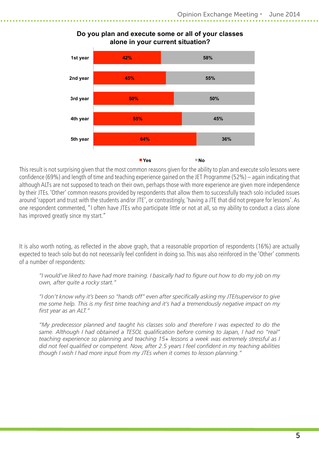

#### **Do you plan and execute some or all of your classes alone in your current situation?**

This result is not surprising given that the most common reasons given for the ability to plan and execute solo lessons were confidence (69%) and length of time and teaching experience gained on the JET Programme (52%) – again indicating that although ALTs are not supposed to teach on their own, perhaps those with more experience are given more independence by their JTEs. 'Other' common reasons provided by respondents that allow them to successfully teach solo included issues around 'rapport and trust with the students and/or JTE', or contrastingly, 'having a JTE that did not prepare for lessons'. As one respondent commented, "I often have JTEs who participate little or not at all, so my ability to conduct a class alone has improved greatly since my start."

It is also worth noting, as reflected in the above graph, that a reasonable proportion of respondents (16%) are actually expected to teach solo but do not necessarily feel confident in doing so. This was also reinforced in the 'Other' comments of a number of respondents:

*"I would've liked to have had more training. I basically had to figure out how to do my job on my own, after quite a rocky start."*

*"I don't know why it's been so "hands off" even after specifically asking my JTE/supervisor to give me some help. This is my first time teaching and it's had a tremendously negative impact on my first year as an ALT."*

*"My predecessor planned and taught his classes solo and therefore I was expected to do the same. Although I had obtained a TESOL qualification before coming to Japan, I had no "real" teaching experience so planning and teaching 15+ lessons a week was extremely stressful as I did not feel qualified or competent. Now, after 2.5 years I feel confident in my teaching abilities though I wish I had more input from my JTEs when it comes to lesson planning."*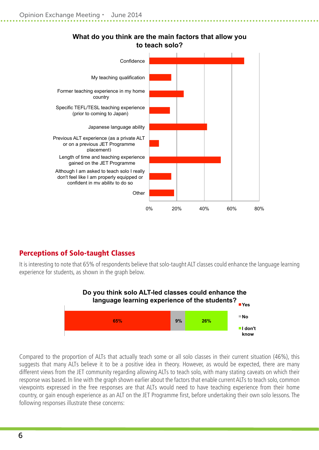<span id="page-9-0"></span>

### **What do you think are the main factors that allow you to teach solo?**

## Perceptions of Solo-taught Classes

It is interesting to note that 65% of respondents believe that solo-taught ALT classes could enhance the language learning experience for students, as shown in the graph below.



Compared to the proportion of ALTs that actually teach some or all solo classes in their current situation (46%), this suggests that many ALTs believe it to be a positive idea in theory. However, as would be expected, there are many different views from the JET community regarding allowing ALTs to teach solo, with many stating caveats on which their response was based. In line with the graph shown earlier about the factors that enable current ALTs to teach solo, common viewpoints expressed in the free responses are that ALTs would need to have teaching experience from their home country, or gain enough experience as an ALT on the JET Programme first, before undertaking their own solo lessons. The following responses illustrate these concerns: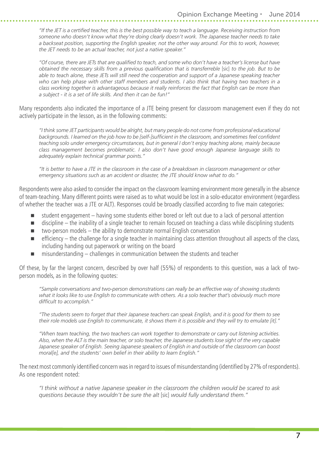*"If the JET is a certified teacher, this is the best possible way to teach a language. Receiving instruction from someone who doesn't know what they're doing clearly doesn't work. The Japanese teacher needs to take a backseat position, supporting the English speaker, not the other way around. For this to work, however, the JET needs to be an actual teacher, not just a native speaker."*

*"Of course, there are JETs that are qualified to teach, and some who don't have a teacher's license but have obtained the necessary skills from a previous qualification that is transferreble [sic] to the job. But to be able to teach alone, these JETs will still need the cooperation and support of a Japanese speaking teacher who can help phase with other staff members and students. I also think that having two teachers in a class working together is advantageous because it really reinforces the fact that English can be more than a subject - it is a set of life skills. And then it can be fun!"*

Many respondents also indicated the importance of a JTE being present for classroom management even if they do not actively participate in the lesson, as in the following comments:

*"I think some JET participants would be alright, but many people do not come from professional educational backgrounds. I learned on the job how to be [self-]sufficient in the classroom, and sometimes feel confident teaching solo under emergency circumstances, but in general I don't enjoy teaching alone, mainly because class management becomes problematic. I also don't have good enough Japanese language skills to adequately explain technical grammar points."*

*"It is better to have a JTE in the classroom in the case of a breakdown in classroom management or other emergency situations such as an accident or disaster, the JTE should know what to do."*

Respondents were also asked to consider the impact on the classroom learning environment more generally in the absence of team-teaching. Many different points were raised as to what would be lost in a solo-educator environment (regardless of whether the teacher was a JTE or ALT). Responses could be broadly classified according to five main categories:

- student engagement having some students either bored or left out due to a lack of personal attention
- $\blacksquare$  discipline the inability of a single teacher to remain focused on teaching a class while disciplining students
- $\blacksquare$  two-person models  $-$  the ability to demonstrate normal English conversation
- $\blacksquare$  efficiency the challenge for a single teacher in maintaining class attention throughout all aspects of the class, including handing out paperwork or writing on the board
- misunderstanding challenges in communication between the students and teacher

Of these, by far the largest concern, described by over half (55%) of respondents to this question, was a lack of twoperson models, as in the following quotes:

*"Sample conversations and two-person demonstrations can really be an effective way of showing students what it looks like to use English to communicate with others. As a solo teacher that's obviously much more difficult to accomplish."*

*"The students seem to forget that their Japanese teachers can speak English, and it is good for them to see their role models use English to communicate, it shows them it is possible and they will try to emulate [it]."*

*"When team teaching, the two teachers can work together to demonstrate or carry out listening activities. Also, when the ALT is the main teacher, or solo teacher, the Japanese students lose sight of the very capable Japanese speaker of English. Seeing Japanese speakers of English in and outside of the classroom can boost moral[e], and the students' own belief in their ability to learn English."*

The next most commonly identified concern was in regard to issues of misunderstanding (identified by 27% of respondents). As one respondent noted:

*"I think without a native Japanese speaker in the classroom the children would be scared to ask questions because they wouldn't be sure the alt* [sic] *would fully understand them."*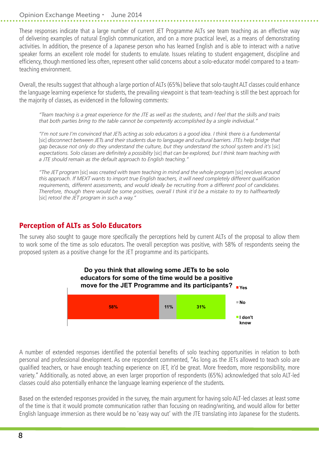#### <span id="page-11-0"></span>Opinion Exchange Meeting · June 2014

These responses indicate that a large number of current JET Programme ALTs see team teaching as an effective way of delivering examples of natural English communication, and on a more practical level, as a means of demonstrating activities. In addition, the presence of a Japanese person who has learned English and is able to interact with a native speaker forms an excellent role model for students to emulate. Issues relating to student engagement, discipline and efficiency, though mentioned less often, represent other valid concerns about a solo-educator model compared to a teamteaching environment.

Overall, the results suggest that although a large portion of ALTs (65%) believe that solo-taught ALT classes could enhance the language learning experience for students, the prevailing viewpoint is that team-teaching is still the best approach for the majority of classes, as evidenced in the following comments:

*"Team teaching is a great experience for the JTE as well as the students, and I feel that the skills and traits that both parties bring to the table cannot be competently accomplished by a single individual."*

*"I'm not sure I'm convinced that JETs acting as solo educators is a good idea. I think there is a fundemental*  [sic] disconnect between JETs and their students due to language and cultural barriers. JTEs help bridge that *gap because not only do they understand the culture, but they understand the school system and it's [sic] expectations. Solo classes are definitely a possiblity* [sic] *that can be explored, but I think team teaching with a JTE should remain as the default approach to English teaching."*

*"The JET program* [sic] *was created with team teaching in mind and the whole program* [sic] *revolves around this approach. If MEXT wants to import true English teachers, it will need completely different qualification requirements, different assessments, and would ideally be recruiting from a different pool of candidates. Therefore, though there would be some positives, overall I think it'd be a mistake to try to halfheartedly*  [sic] *retool the JET program in such a way."*

### Perception of ALTs as Solo Educators

The survey also sought to gauge more specifically the perceptions held by current ALTs of the proposal to allow them to work some of the time as solo educators. The overall perception was positive, with 58% of respondents seeing the proposed system as a positive change for the JET programme and its participants.



A number of extended responses identified the potential benefits of solo teaching opportunities in relation to both personal and professional development. As one respondent commented, "As long as the JETs allowed to teach solo are qualified teachers, or have enough teaching experience on JET, it'd be great. More freedom, more responsibility, more variety." Additionally, as noted above, an even larger proportion of respondents (65%) acknowledged that solo ALT-led classes could also potentially enhance the language learning experience of the students.

Based on the extended responses provided in the survey, the main argument for having solo ALT-led classes at least some of the time is that it would promote communication rather than focusing on reading/writing, and would allow for better English language immersion as there would be no 'easy way out' with the JTE translating into Japanese for the students.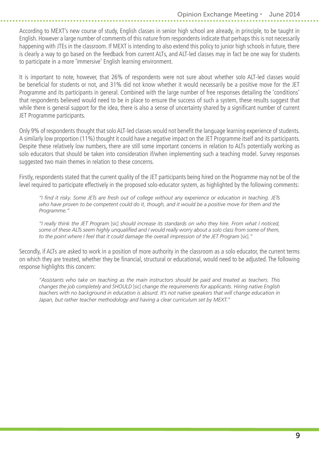According to MEXT's new course of study, English classes in senior high school are already, in principle, to be taught in English. However a large number of comments of this nature from respondents indicate that perhaps this is not necessarily happening with JTEs in the classroom. If MEXT is intending to also extend this policy to junior high schools in future, there is clearly a way to go based on the feedback from current ALTs, and ALT-led classes may in fact be one way for students to participate in a more 'immersive' English learning environment.

It is important to note, however, that 26% of respondents were not sure about whether solo ALT-led classes would be beneficial for students or not, and 31% did not know whether it would necessarily be a positive move for the JET Programme and its participants in general. Combined with the large number of free responses detailing the 'conditions' that respondents believed would need to be in place to ensure the success of such a system, these results suggest that while there is general support for the idea, there is also a sense of uncertainty shared by a significant number of current JET Programme participants.

Only 9% of respondents thought that solo ALT-led classes would not benefit the language learning experience of students. A similarly low proportion (11%) thought it could have a negative impact on the JET Programme itself and its participants. Despite these relatively low numbers, there are still some important concerns in relation to ALTs potentially working as solo educators that should be taken into consideration if/when implementing such a teaching model. Survey responses suggested two main themes in relation to these concerns.

Firstly, respondents stated that the current quality of the JET participants being hired on the Programme may not be of the level required to participate effectively in the proposed solo-educator system, as highlighted by the following comments:

*"I find it risky. Some JETs are fresh out of college without any experience or education in teaching. JETs who have proven to be competent could do it, though, and it would be a positive move for them and the Programme."*

*"I really think the JET Program* [sic] *should increase its standards on who they hire. From what I noticed, some of these ALTs seem highly unqualified and I would really worry about a solo class from some of them,*  to the point where I feel that it could damage the overall impression of the JET Program [sic]."

Secondly, if ALTs are asked to work in a position of more authority in the classroom as a solo educator, the current terms on which they are treated, whether they be financial, structural or educational, would need to be adjusted. The following response highlights this concern:

*"Assistants who take on teaching as the main instructors should be paid and treated as teachers. This changes the job completely and SHOULD* [sic] *change the requirements for applicants. Hiring native English teachers with no background in education is absurd. It's not native speakers that will change education in Japan, but rather teacher methodology and having a clear curriculum set by MEXT."*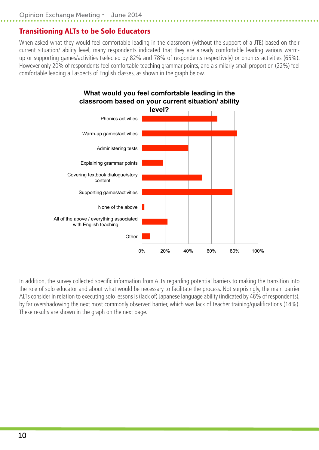## <span id="page-13-0"></span>Transitioning ALTs to be Solo Educators

When asked what they would feel comfortable leading in the classroom (without the support of a JTE) based on their current situation/ ability level, many respondents indicated that they are already comfortable leading various warmup or supporting games/activities (selected by 82% and 78% of respondents respectively) or phonics activities (65%). However only 20% of respondents feel comfortable teaching grammar points, and a similarly small proportion (22%) feel comfortable leading all aspects of English classes, as shown in the graph below.



In addition, the survey collected specific information from ALTs regarding potential barriers to making the transition into the role of solo educator and about what would be necessary to facilitate the process. Not surprisingly, the main barrier ALTs consider in relation to executing solo lessons is (lack of) Japanese language ability (indicated by 46% of respondents), by far overshadowing the next most commonly observed barrier, which was lack of teacher training/qualifications (14%). These results are shown in the graph on the next page.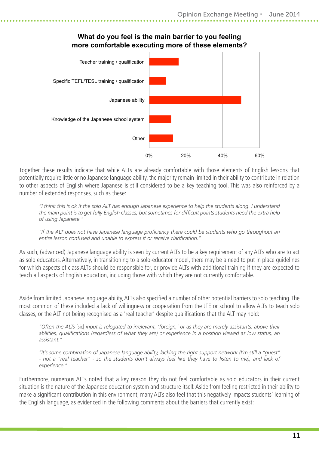

#### **What do you feel is the main barrier to you feeling more comfortable executing more of these elements?**

Together these results indicate that while ALTs are already comfortable with those elements of English lessons that potentially require little or no Japanese language ability, the majority remain limited in their ability to contribute in relation to other aspects of English where Japanese is still considered to be a key teaching tool. This was also reinforced by a number of extended responses, such as these:

*"I think this is ok if the solo ALT has enough Japanese experience to help the students along. I understand the main point is to get fully English classes, but sometimes for difficult points students need the extra help of using Japanese."*

*"If the ALT does not have Japanese language proficiency there could be students who go throughout an entire lesson confused and unable to express it or receive clarification."*

As such, (advanced) Japanese language ability is seen by current ALTs to be a key requirement of any ALTs who are to act as solo educators. Alternatively, in transitioning to a solo-educator model, there may be a need to put in place guidelines for which aspects of class ALTs should be responsible for, or provide ALTs with additional training if they are expected to teach all aspects of English education, including those with which they are not currently comfortable.

Aside from limited Japanese language ability, ALTs also specified a number of other potential barriers to solo teaching. The most common of these included a lack of willingness or cooperation from the JTE or school to allow ALTs to teach solo classes, or the ALT not being recognised as a 'real teacher' despite qualifications that the ALT may hold:

*"Often the ALTs* [sic] *input is relegated to irrelevant, 'foreign,' or as they are merely assistants: above their abilities, qualifications (regardless of what they are) or experience in a position viewed as low status, an assistant."*

*"It's some combination of Japanese language ability, lacking the right support network (I'm still a "guest" - not a "real teacher" - so the students don't always feel like they have to listen to me), and lack of experience."*

Furthermore, numerous ALTs noted that a key reason they do not feel comfortable as solo educators in their current situation is the nature of the Japanese education system and structure itself. Aside from feeling restricted in their ability to make a significant contribution in this environment, many ALTs also feel that this negatively impacts students' learning of the English language, as evidenced in the following comments about the barriers that currently exist: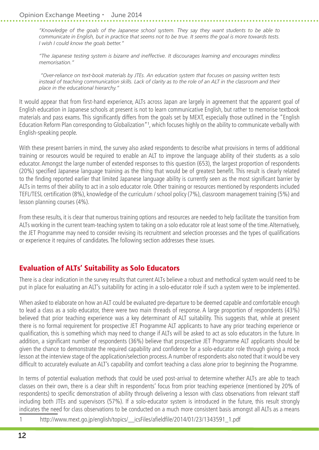<span id="page-15-0"></span>*"Knowledge of the goals of the Japanese school system. They say they want students to be able to communicate in English, but in practice that seems not to be true. It seems the goal is more towards tests. I wish I could know the goals better."*

*"The Japanese testing system is bizarre and ineffective. It discourages learning and encourages mindless memorisation."*

 *"Over-reliance on text-book materials by JTEs. An education system that focuses on passing written tests instead of teaching communication skills. Lack of clarity as to the role of an ALT in the classroom and their place in the educational hierarchy."*

It would appear that from first-hand experience, ALTs across Japan are largely in agreement that the apparent goal of English education in Japanese schools at present is not to learn communicative English, but rather to memorise textbook materials and pass exams. This significantly differs from the goals set by MEXT, especially those outlined in the "English Education Reform Plan corresponding to Globalization"1, which focuses highly on the ability to communicate verbally with English-speaking people.

With these present barriers in mind, the survey also asked respondents to describe what provisions in terms of additional training or resources would be required to enable an ALT to improve the language ability of their students as a solo educator. Amongst the large number of extended responses to this question (653), the largest proportion of respondents (20%) specified Japanese language training as the thing that would be of greatest benefit. This result is clearly related to the finding reported earlier that limited Japanese language ability is currently seen as the most significant barrier by ALTs in terms of their ability to act in a solo educator role. Other training or resources mentioned by respondents included TEFL/TESL certification (8%), knowledge of the curriculum / school policy (7%), classroom management training (5%) and lesson planning courses (4%).

From these results, it is clear that numerous training options and resources are needed to help facilitate the transition from ALTs working in the current team-teaching system to taking on a solo educator role at least some of the time. Alternatively, the JET Programme may need to consider revising its recruitment and selection processes and the types of qualifications or experience it requires of candidates. The following section addresses these issues.

## Evaluation of ALTs' Suitability as Solo Educators

There is a clear indication in the survey results that current ALTs believe a robust and methodical system would need to be put in place for evaluating an ALT's suitability for acting in a solo-educator role if such a system were to be implemented.

When asked to elaborate on how an ALT could be evaluated pre-departure to be deemed capable and comfortable enough to lead a class as a solo educator, there were two main threads of response. A large proportion of respondents (43%) believed that prior teaching experience was a key determinant of ALT suitability. This suggests that, while at present there is no formal requirement for prospective JET Programme ALT applicants to have any prior teaching experience or qualification, this is something which may need to change if ALTs will be asked to act as solo educators in the future. In addition, a significant number of respondents (36%) believe that prospective JET Programme ALT applicants should be given the chance to demonstrate the required capability and confidence for a solo-educator role through giving a mock lesson at the interview stage of the application/selection process. A number of respondents also noted that it would be very difficult to accurately evaluate an ALT's capability and comfort teaching a class alone prior to beginning the Programme.

In terms of potential evaluation methods that could be used post-arrival to determine whether ALTs are able to teach classes on their own, there is a clear shift in respondents' focus from prior teaching experience (mentioned by 20% of respondents) to specific demonstration of ability through delivering a lesson with class observations from relevant staff including both JTEs and supervisors (57%). If a solo-educator system is introduced in the future, this result strongly indicates the need for class observations to be conducted on a much more consistent basis amongst all ALTs as a means

1 [http://www.mext.go.jp/english/topics/\\_\\_icsFiles/afieldfile/2014/01/23/1343591\\_1.pdf](http://www.mext.go.jp/english/topics/__icsFiles/afieldfile/2014/01/23/1343591_1.pdf)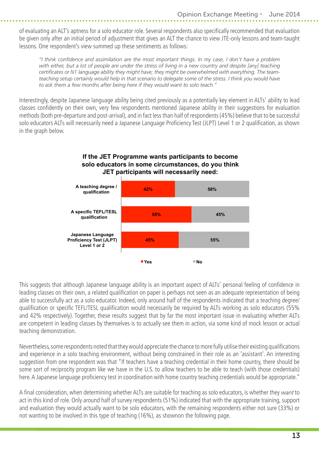of evaluating an ALT's aptness for a solo educator role. Several respondents also specifically recommended that evaluation be given only after an initial period of adjustment that gives an ALT the chance to view JTE-only lessons and team-taught lessons. One respondent's view summed up these sentiments as follows:

*"I think confidence and assimilation are the most important things. In my case, I don't have a problem with either, but a lot of people are under the stress of living in a new country and despite [any] teaching certificates or N1 language ability they might have; they might be overwhelmed with everything. The team*teaching setup certainly would help in that scenario to delegate some of the stress. I think you would have *to ask them a few months after being here if they would want to solo teach."*

Interestingly, despite Japanese language ability being cited previously as a potentially key element in ALTs' ability to lead classes confidently on their own, very few respondents mentioned Japanese ability in their suggestions for evaluation methods (both pre-departure and post-arrival), and in fact less than half of respondents (45%) believe that to be successful solo educators ALTs will necessarily need a Japanese Language Proficiency Test (JLPT) Level 1 or 2 qualification, as shown in the graph below.

#### **If the JET Programme wants participants to become solo educators in some circumstances, do you think JET participants will necessarily need:**



This suggests that although Japanese language ability is an important aspect of ALTs' personal feeling of confidence in leading classes on their own, a related qualification on paper is perhaps not seen as an adequate representation of being able to successfully act as a solo educator. Indeed, only around half of the respondents indicated that a teaching degree/ qualification or specific TEFL/TESL qualification would necessarily be required by ALTs working as solo educators (55% and 42% respectively). Together, these results suggest that by far the most important issue in evaluating whether ALTs are competent in leading classes by themselves is to actually see them in action, via some kind of mock lesson or actual teaching demonstration.

Nevertheless, some respondents noted that they would appreciate the chance to more fully utilise their existing qualifications and experience in a solo teaching environment, without being constrained in their role as an 'assistant'. An interesting suggestion from one respondent was that "If teachers have a teaching credential in their home country, there should be some sort of reciprocity program like we have in the U.S. to allow teachers to be able to teach (with those credentials) here. A Japanese language proficiency test in coordination with home country teaching credentials would be appropriate."

A final consideration, when determining whether ALTs are suitable for teaching as solo educators, is whether they *want* to act in this kind of role. Only around half of survey respondents (51%) indicated that with the appropriate training, support and evaluation they would actually want to be solo educators, with the remaining respondents either not sure (33%) or not wanting to be involved in this type of teaching (16%), as shownon the following page.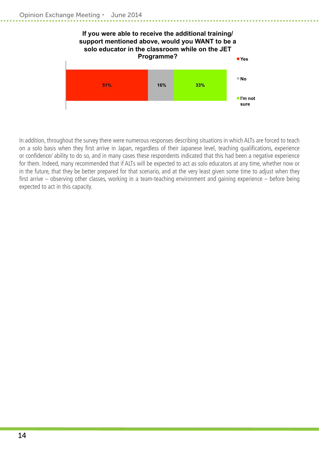

In addition, throughout the survey there were numerous responses describing situations in which ALTs are forced to teach on a solo basis when they first arrive in Japan, regardless of their Japanese level, teaching qualifications, experience or confidence/ ability to do so, and in many cases these respondents indicated that this had been a negative experience for them. Indeed, many recommended that if ALTs will be expected to act as solo educators at any time, whether now or in the future, that they be better prepared for that scenario, and at the very least given some time to adjust when they first arrive – observing other classes, working in a team-teaching environment and gaining experience – before being expected to act in this capacity.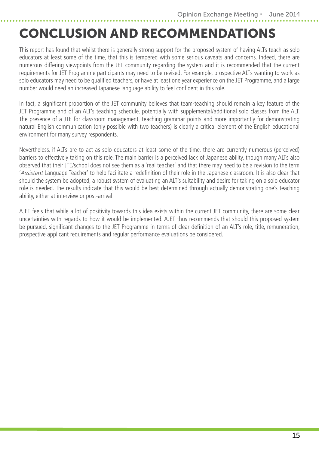## <span id="page-18-0"></span>CONCLUSION AND RECOMMENDATIONS

This report has found that whilst there is generally strong support for the proposed system of having ALTs teach as solo educators at least some of the time, that this is tempered with some serious caveats and concerns. Indeed, there are numerous differing viewpoints from the JET community regarding the system and it is recommended that the current requirements for JET Programme participants may need to be revised. For example, prospective ALTs wanting to work as solo educators may need to be qualified teachers, or have at least one year experience on the JET Programme, and a large number would need an increased Japanese language ability to feel confident in this role.

In fact, a significant proportion of the JET community believes that team-teaching should remain a key feature of the JET Programme and of an ALT's teaching schedule, potentially with supplemental/additional solo classes from the ALT. The presence of a JTE for classroom management, teaching grammar points and more importantly for demonstrating natural English communication (only possible with two teachers) is clearly a critical element of the English educational environment for many survey respondents.

Nevertheless, if ALTs are to act as solo educators at least some of the time, there are currently numerous (perceived) barriers to effectively taking on this role. The main barrier is a perceived lack of Japanese ability, though many ALTs also observed that their JTE/school does not see them as a 'real teacher' and that there may need to be a revision to the term '*Assistant* Language Teacher' to help facilitate a redefinition of their role in the Japanese classroom. It is also clear that should the system be adopted, a robust system of evaluating an ALT's suitability and desire for taking on a solo educator role is needed. The results indicate that this would be best determined through actually demonstrating one's teaching ability, either at interview or post-arrival.

AJET feels that while a lot of positivity towards this idea exists within the current JET community, there are some clear uncertainties with regards to how it would be implemented. AJET thus recommends that should this proposed system be pursued, significant changes to the JET Programme in terms of clear definition of an ALT's role, title, remuneration, prospective applicant requirements and regular performance evaluations be considered.